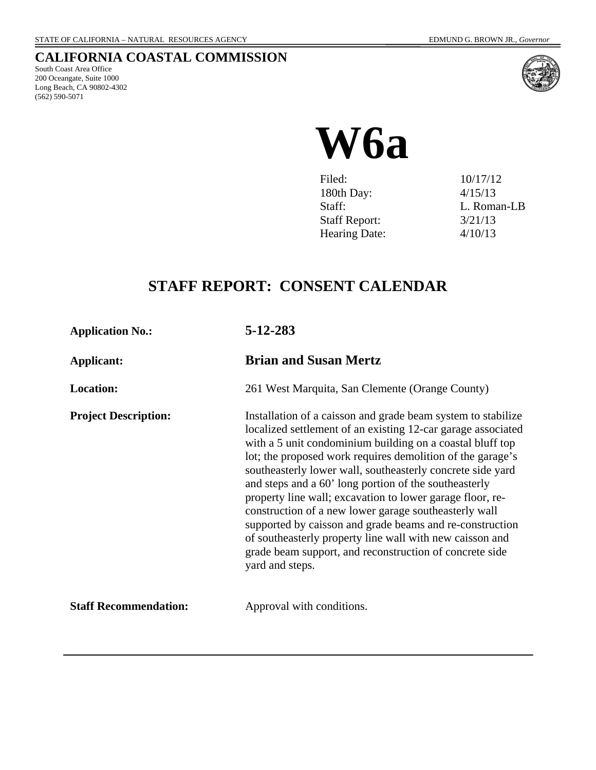## **CALIFORNIA COASTAL COMMISSION**

South Coast Area Office 200 Oceangate, Suite 1000 Long Beach, CA 90802-4302 (562) 590-5071



# **W6a**

| Filed:               | 10/17/12    |
|----------------------|-------------|
| 180th Day:           | 4/15/13     |
| Staff:               | L. Roman-LB |
| <b>Staff Report:</b> | 3/21/13     |
| <b>Hearing Date:</b> | 4/10/13     |

# **STAFF REPORT: CONSENT CALENDAR**

**Application No.: 5-12-283**

| Applicant:                   | <b>Brian and Susan Mertz</b>                                                                                                                                                                                                                                                                                                                                                                                                                                                                                                                                                                                                                                                                               |
|------------------------------|------------------------------------------------------------------------------------------------------------------------------------------------------------------------------------------------------------------------------------------------------------------------------------------------------------------------------------------------------------------------------------------------------------------------------------------------------------------------------------------------------------------------------------------------------------------------------------------------------------------------------------------------------------------------------------------------------------|
| <b>Location:</b>             | 261 West Marquita, San Clemente (Orange County)                                                                                                                                                                                                                                                                                                                                                                                                                                                                                                                                                                                                                                                            |
| <b>Project Description:</b>  | Installation of a caisson and grade beam system to stabilize<br>localized settlement of an existing 12-car garage associated<br>with a 5 unit condominium building on a coastal bluff top<br>lot; the proposed work requires demolition of the garage's<br>southeasterly lower wall, southeasterly concrete side yard<br>and steps and a 60' long portion of the southeasterly<br>property line wall; excavation to lower garage floor, re-<br>construction of a new lower garage southeasterly wall<br>supported by caisson and grade beams and re-construction<br>of southeasterly property line wall with new caisson and<br>grade beam support, and reconstruction of concrete side<br>yard and steps. |
| <b>Staff Recommendation:</b> | Approval with conditions.                                                                                                                                                                                                                                                                                                                                                                                                                                                                                                                                                                                                                                                                                  |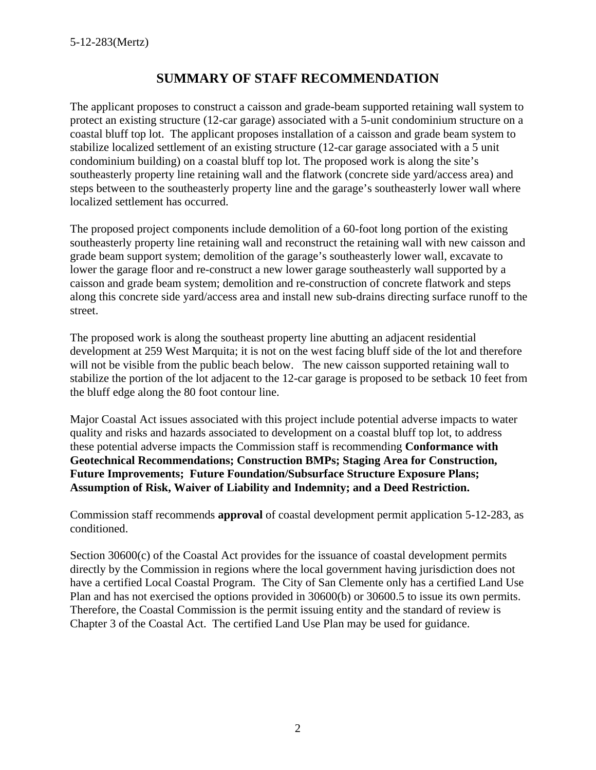## **SUMMARY OF STAFF RECOMMENDATION**

The applicant proposes to construct a caisson and grade-beam supported retaining wall system to protect an existing structure (12-car garage) associated with a 5-unit condominium structure on a coastal bluff top lot. The applicant proposes installation of a caisson and grade beam system to stabilize localized settlement of an existing structure (12-car garage associated with a 5 unit condominium building) on a coastal bluff top lot. The proposed work is along the site's southeasterly property line retaining wall and the flatwork (concrete side yard/access area) and steps between to the southeasterly property line and the garage's southeasterly lower wall where localized settlement has occurred.

The proposed project components include demolition of a 60-foot long portion of the existing southeasterly property line retaining wall and reconstruct the retaining wall with new caisson and grade beam support system; demolition of the garage's southeasterly lower wall, excavate to lower the garage floor and re-construct a new lower garage southeasterly wall supported by a caisson and grade beam system; demolition and re-construction of concrete flatwork and steps along this concrete side yard/access area and install new sub-drains directing surface runoff to the street.

The proposed work is along the southeast property line abutting an adjacent residential development at 259 West Marquita; it is not on the west facing bluff side of the lot and therefore will not be visible from the public beach below. The new caisson supported retaining wall to stabilize the portion of the lot adjacent to the 12-car garage is proposed to be setback 10 feet from the bluff edge along the 80 foot contour line.

Major Coastal Act issues associated with this project include potential adverse impacts to water quality and risks and hazards associated to development on a coastal bluff top lot, to address these potential adverse impacts the Commission staff is recommending **Conformance with Geotechnical Recommendations; Construction BMPs; Staging Area for Construction, Future Improvements; Future Foundation/Subsurface Structure Exposure Plans; Assumption of Risk, Waiver of Liability and Indemnity; and a Deed Restriction.**

Commission staff recommends **approval** of coastal development permit application 5-12-283, as conditioned.

Section 30600(c) of the Coastal Act provides for the issuance of coastal development permits directly by the Commission in regions where the local government having jurisdiction does not have a certified Local Coastal Program. The City of San Clemente only has a certified Land Use Plan and has not exercised the options provided in 30600(b) or 30600.5 to issue its own permits. Therefore, the Coastal Commission is the permit issuing entity and the standard of review is Chapter 3 of the Coastal Act. The certified Land Use Plan may be used for guidance.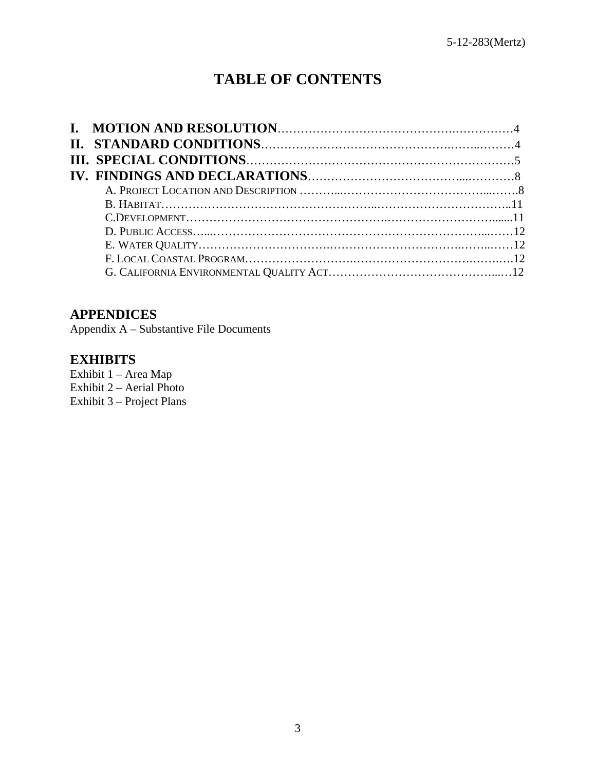## **TABLE OF CONTENTS**

## **APPENDICES**

Appendix A – Substantive File Documents

### **EXHIBITS**

Exhibit 1 – Area Map Exhibit  $2 -$  Aerial Photo Exhibit 3 – Project Plans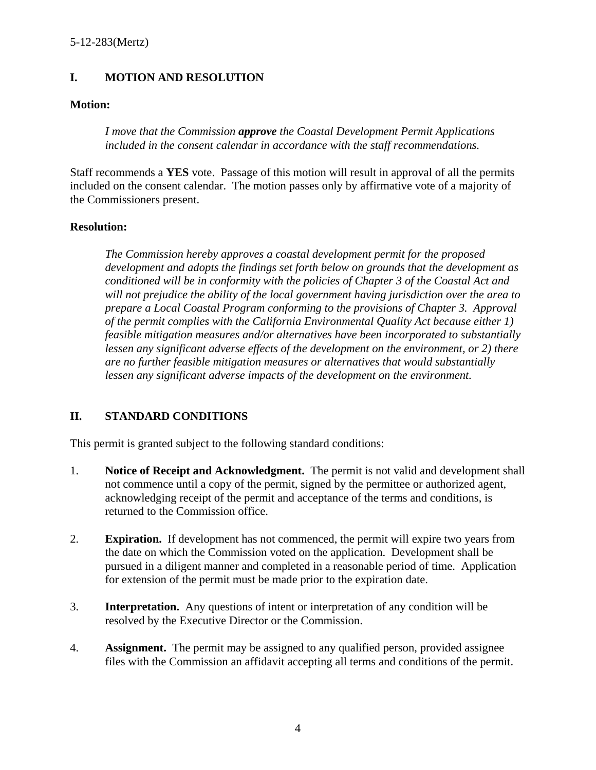#### **I. MOTION AND RESOLUTION**

#### **Motion:**

*I move that the Commission approve the Coastal Development Permit Applications included in the consent calendar in accordance with the staff recommendations.* 

Staff recommends a **YES** vote. Passage of this motion will result in approval of all the permits included on the consent calendar. The motion passes only by affirmative vote of a majority of the Commissioners present.

#### **Resolution:**

*The Commission hereby approves a coastal development permit for the proposed development and adopts the findings set forth below on grounds that the development as conditioned will be in conformity with the policies of Chapter 3 of the Coastal Act and will not prejudice the ability of the local government having jurisdiction over the area to prepare a Local Coastal Program conforming to the provisions of Chapter 3. Approval of the permit complies with the California Environmental Quality Act because either 1) feasible mitigation measures and/or alternatives have been incorporated to substantially lessen any significant adverse effects of the development on the environment, or 2) there are no further feasible mitigation measures or alternatives that would substantially lessen any significant adverse impacts of the development on the environment.* 

#### **II. STANDARD CONDITIONS**

This permit is granted subject to the following standard conditions:

- 1. **Notice of Receipt and Acknowledgment.** The permit is not valid and development shall not commence until a copy of the permit, signed by the permittee or authorized agent, acknowledging receipt of the permit and acceptance of the terms and conditions, is returned to the Commission office.
- 2. **Expiration.** If development has not commenced, the permit will expire two years from the date on which the Commission voted on the application. Development shall be pursued in a diligent manner and completed in a reasonable period of time. Application for extension of the permit must be made prior to the expiration date.
- 3. **Interpretation.** Any questions of intent or interpretation of any condition will be resolved by the Executive Director or the Commission.
- 4. **Assignment.** The permit may be assigned to any qualified person, provided assignee files with the Commission an affidavit accepting all terms and conditions of the permit.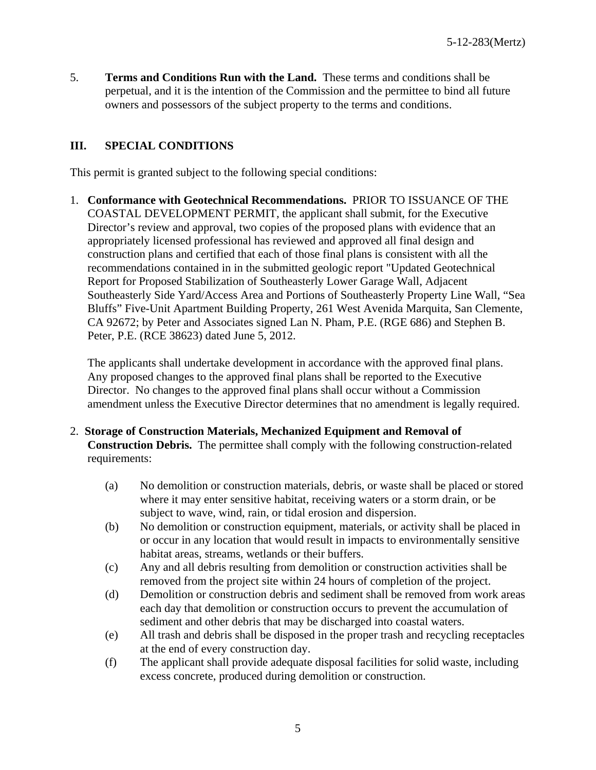5. **Terms and Conditions Run with the Land.** These terms and conditions shall be perpetual, and it is the intention of the Commission and the permittee to bind all future owners and possessors of the subject property to the terms and conditions.

#### **III. SPECIAL CONDITIONS**

This permit is granted subject to the following special conditions:

1. **Conformance with Geotechnical Recommendations.** PRIOR TO ISSUANCE OF THE COASTAL DEVELOPMENT PERMIT, the applicant shall submit, for the Executive Director's review and approval, two copies of the proposed plans with evidence that an appropriately licensed professional has reviewed and approved all final design and construction plans and certified that each of those final plans is consistent with all the recommendations contained in in the submitted geologic report "Updated Geotechnical Report for Proposed Stabilization of Southeasterly Lower Garage Wall, Adjacent Southeasterly Side Yard/Access Area and Portions of Southeasterly Property Line Wall, "Sea Bluffs" Five-Unit Apartment Building Property, 261 West Avenida Marquita, San Clemente, CA 92672; by Peter and Associates signed Lan N. Pham, P.E. (RGE 686) and Stephen B. Peter, P.E. (RCE 38623) dated June 5, 2012.

The applicants shall undertake development in accordance with the approved final plans. Any proposed changes to the approved final plans shall be reported to the Executive Director. No changes to the approved final plans shall occur without a Commission amendment unless the Executive Director determines that no amendment is legally required.

- 2. **Storage of Construction Materials, Mechanized Equipment and Removal of Construction Debris.** The permittee shall comply with the following construction-related requirements:
	- (a) No demolition or construction materials, debris, or waste shall be placed or stored where it may enter sensitive habitat, receiving waters or a storm drain, or be subject to wave, wind, rain, or tidal erosion and dispersion.
	- (b) No demolition or construction equipment, materials, or activity shall be placed in or occur in any location that would result in impacts to environmentally sensitive habitat areas, streams, wetlands or their buffers.
	- (c) Any and all debris resulting from demolition or construction activities shall be removed from the project site within 24 hours of completion of the project.
	- (d) Demolition or construction debris and sediment shall be removed from work areas each day that demolition or construction occurs to prevent the accumulation of sediment and other debris that may be discharged into coastal waters.
	- (e) All trash and debris shall be disposed in the proper trash and recycling receptacles at the end of every construction day.
	- (f) The applicant shall provide adequate disposal facilities for solid waste, including excess concrete, produced during demolition or construction.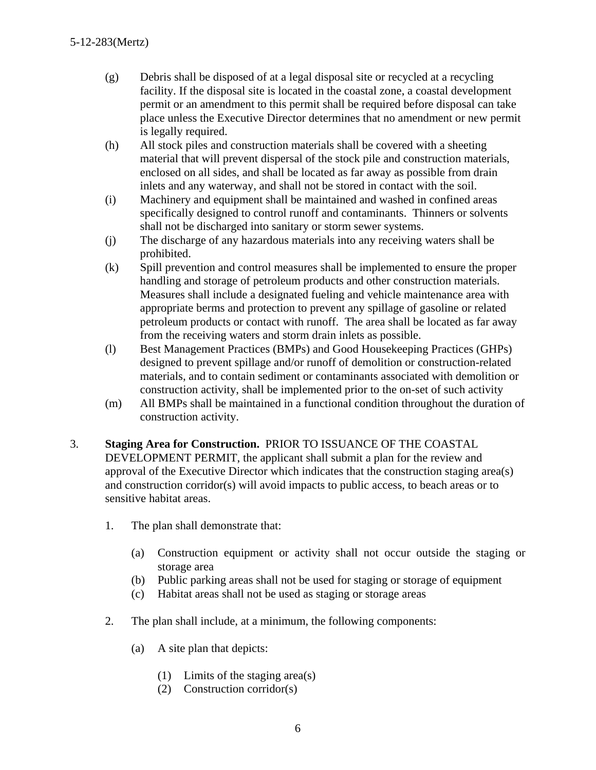- (g) Debris shall be disposed of at a legal disposal site or recycled at a recycling facility. If the disposal site is located in the coastal zone, a coastal development permit or an amendment to this permit shall be required before disposal can take place unless the Executive Director determines that no amendment or new permit is legally required.
- (h) All stock piles and construction materials shall be covered with a sheeting material that will prevent dispersal of the stock pile and construction materials, enclosed on all sides, and shall be located as far away as possible from drain inlets and any waterway, and shall not be stored in contact with the soil.
- (i) Machinery and equipment shall be maintained and washed in confined areas specifically designed to control runoff and contaminants. Thinners or solvents shall not be discharged into sanitary or storm sewer systems.
- (j) The discharge of any hazardous materials into any receiving waters shall be prohibited.
- (k) Spill prevention and control measures shall be implemented to ensure the proper handling and storage of petroleum products and other construction materials. Measures shall include a designated fueling and vehicle maintenance area with appropriate berms and protection to prevent any spillage of gasoline or related petroleum products or contact with runoff. The area shall be located as far away from the receiving waters and storm drain inlets as possible.
- (l) Best Management Practices (BMPs) and Good Housekeeping Practices (GHPs) designed to prevent spillage and/or runoff of demolition or construction-related materials, and to contain sediment or contaminants associated with demolition or construction activity, shall be implemented prior to the on-set of such activity
- (m) All BMPs shall be maintained in a functional condition throughout the duration of construction activity.
- 3. **Staging Area for Construction.** PRIOR TO ISSUANCE OF THE COASTAL DEVELOPMENT PERMIT, the applicant shall submit a plan for the review and approval of the Executive Director which indicates that the construction staging area(s) and construction corridor(s) will avoid impacts to public access, to beach areas or to sensitive habitat areas.
	- 1. The plan shall demonstrate that:
		- (a) Construction equipment or activity shall not occur outside the staging or storage area
		- (b) Public parking areas shall not be used for staging or storage of equipment
		- (c) Habitat areas shall not be used as staging or storage areas
	- 2. The plan shall include, at a minimum, the following components:
		- (a) A site plan that depicts:
			- (1) Limits of the staging area(s)
			- (2) Construction corridor(s)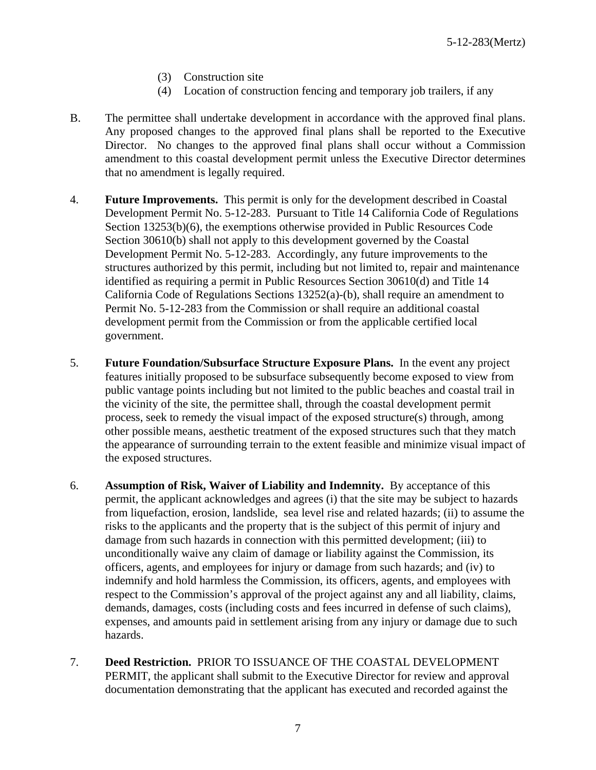- (3) Construction site
- (4) Location of construction fencing and temporary job trailers, if any
- B. The permittee shall undertake development in accordance with the approved final plans. Any proposed changes to the approved final plans shall be reported to the Executive Director. No changes to the approved final plans shall occur without a Commission amendment to this coastal development permit unless the Executive Director determines that no amendment is legally required.
- 4. **Future Improvements.** This permit is only for the development described in Coastal Development Permit No. 5-12-283. Pursuant to Title 14 California Code of Regulations Section 13253(b)(6), the exemptions otherwise provided in Public Resources Code Section 30610(b) shall not apply to this development governed by the Coastal Development Permit No. 5-12-283. Accordingly, any future improvements to the structures authorized by this permit, including but not limited to, repair and maintenance identified as requiring a permit in Public Resources Section 30610(d) and Title 14 California Code of Regulations Sections 13252(a)-(b), shall require an amendment to Permit No. 5-12-283 from the Commission or shall require an additional coastal development permit from the Commission or from the applicable certified local government.
- 5. **Future Foundation/Subsurface Structure Exposure Plans.** In the event any project features initially proposed to be subsurface subsequently become exposed to view from public vantage points including but not limited to the public beaches and coastal trail in the vicinity of the site, the permittee shall, through the coastal development permit process, seek to remedy the visual impact of the exposed structure(s) through, among other possible means, aesthetic treatment of the exposed structures such that they match the appearance of surrounding terrain to the extent feasible and minimize visual impact of the exposed structures.
- 6. **Assumption of Risk, Waiver of Liability and Indemnity.** By acceptance of this permit, the applicant acknowledges and agrees (i) that the site may be subject to hazards from liquefaction, erosion, landslide, sea level rise and related hazards; (ii) to assume the risks to the applicants and the property that is the subject of this permit of injury and damage from such hazards in connection with this permitted development; (iii) to unconditionally waive any claim of damage or liability against the Commission, its officers, agents, and employees for injury or damage from such hazards; and (iv) to indemnify and hold harmless the Commission, its officers, agents, and employees with respect to the Commission's approval of the project against any and all liability, claims, demands, damages, costs (including costs and fees incurred in defense of such claims), expenses, and amounts paid in settlement arising from any injury or damage due to such hazards.
- 7. **Deed Restriction.** PRIOR TO ISSUANCE OF THE COASTAL DEVELOPMENT PERMIT, the applicant shall submit to the Executive Director for review and approval documentation demonstrating that the applicant has executed and recorded against the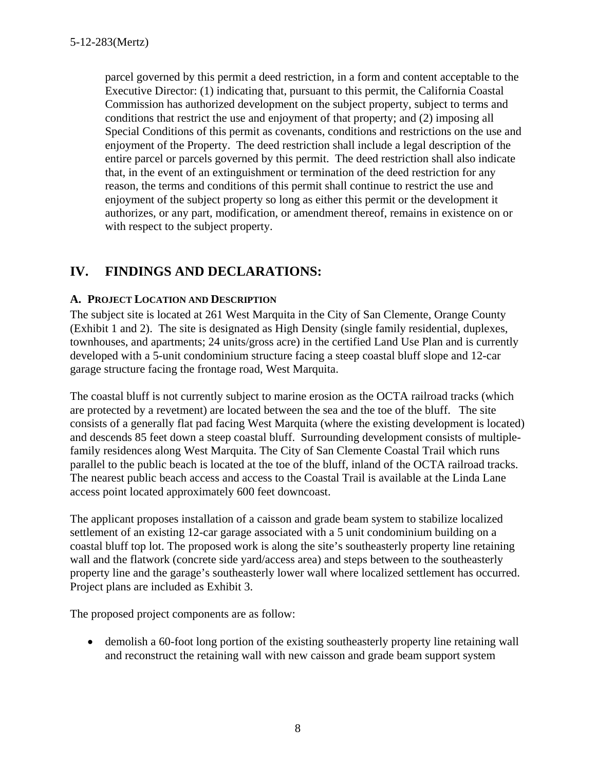parcel governed by this permit a deed restriction, in a form and content acceptable to the Executive Director: (1) indicating that, pursuant to this permit, the California Coastal Commission has authorized development on the subject property, subject to terms and conditions that restrict the use and enjoyment of that property; and (2) imposing all Special Conditions of this permit as covenants, conditions and restrictions on the use and enjoyment of the Property. The deed restriction shall include a legal description of the entire parcel or parcels governed by this permit. The deed restriction shall also indicate that, in the event of an extinguishment or termination of the deed restriction for any reason, the terms and conditions of this permit shall continue to restrict the use and enjoyment of the subject property so long as either this permit or the development it authorizes, or any part, modification, or amendment thereof, remains in existence on or with respect to the subject property.

## **IV. FINDINGS AND DECLARATIONS:**

#### **A. PROJECT LOCATION AND DESCRIPTION**

The subject site is located at 261 West Marquita in the City of San Clemente, Orange County (Exhibit 1 and 2). The site is designated as High Density (single family residential, duplexes, townhouses, and apartments; 24 units/gross acre) in the certified Land Use Plan and is currently developed with a 5-unit condominium structure facing a steep coastal bluff slope and 12-car garage structure facing the frontage road, West Marquita.

The coastal bluff is not currently subject to marine erosion as the OCTA railroad tracks (which are protected by a revetment) are located between the sea and the toe of the bluff. The site consists of a generally flat pad facing West Marquita (where the existing development is located) and descends 85 feet down a steep coastal bluff. Surrounding development consists of multiplefamily residences along West Marquita. The City of San Clemente Coastal Trail which runs parallel to the public beach is located at the toe of the bluff, inland of the OCTA railroad tracks. The nearest public beach access and access to the Coastal Trail is available at the Linda Lane access point located approximately 600 feet downcoast.

The applicant proposes installation of a caisson and grade beam system to stabilize localized settlement of an existing 12-car garage associated with a 5 unit condominium building on a coastal bluff top lot. The proposed work is along the site's southeasterly property line retaining wall and the flatwork (concrete side yard/access area) and steps between to the southeasterly property line and the garage's southeasterly lower wall where localized settlement has occurred. Project plans are included as Exhibit 3.

The proposed project components are as follow:

 demolish a 60-foot long portion of the existing southeasterly property line retaining wall and reconstruct the retaining wall with new caisson and grade beam support system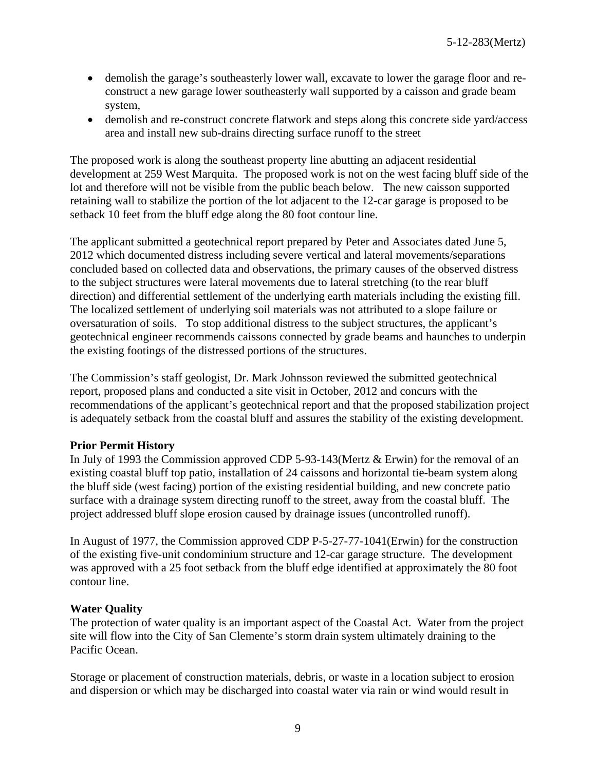- demolish the garage's southeasterly lower wall, excavate to lower the garage floor and reconstruct a new garage lower southeasterly wall supported by a caisson and grade beam system,
- demolish and re-construct concrete flatwork and steps along this concrete side yard/access area and install new sub-drains directing surface runoff to the street

The proposed work is along the southeast property line abutting an adjacent residential development at 259 West Marquita. The proposed work is not on the west facing bluff side of the lot and therefore will not be visible from the public beach below. The new caisson supported retaining wall to stabilize the portion of the lot adjacent to the 12-car garage is proposed to be setback 10 feet from the bluff edge along the 80 foot contour line.

The applicant submitted a geotechnical report prepared by Peter and Associates dated June 5, 2012 which documented distress including severe vertical and lateral movements/separations concluded based on collected data and observations, the primary causes of the observed distress to the subject structures were lateral movements due to lateral stretching (to the rear bluff direction) and differential settlement of the underlying earth materials including the existing fill. The localized settlement of underlying soil materials was not attributed to a slope failure or oversaturation of soils. To stop additional distress to the subject structures, the applicant's geotechnical engineer recommends caissons connected by grade beams and haunches to underpin the existing footings of the distressed portions of the structures.

The Commission's staff geologist, Dr. Mark Johnsson reviewed the submitted geotechnical report, proposed plans and conducted a site visit in October, 2012 and concurs with the recommendations of the applicant's geotechnical report and that the proposed stabilization project is adequately setback from the coastal bluff and assures the stability of the existing development.

#### **Prior Permit History**

In July of 1993 the Commission approved CDP 5-93-143(Mertz & Erwin) for the removal of an existing coastal bluff top patio, installation of 24 caissons and horizontal tie-beam system along the bluff side (west facing) portion of the existing residential building, and new concrete patio surface with a drainage system directing runoff to the street, away from the coastal bluff. The project addressed bluff slope erosion caused by drainage issues (uncontrolled runoff).

In August of 1977, the Commission approved CDP P-5-27-77-1041(Erwin) for the construction of the existing five-unit condominium structure and 12-car garage structure. The development was approved with a 25 foot setback from the bluff edge identified at approximately the 80 foot contour line.

#### **Water Quality**

The protection of water quality is an important aspect of the Coastal Act. Water from the project site will flow into the City of San Clemente's storm drain system ultimately draining to the Pacific Ocean.

Storage or placement of construction materials, debris, or waste in a location subject to erosion and dispersion or which may be discharged into coastal water via rain or wind would result in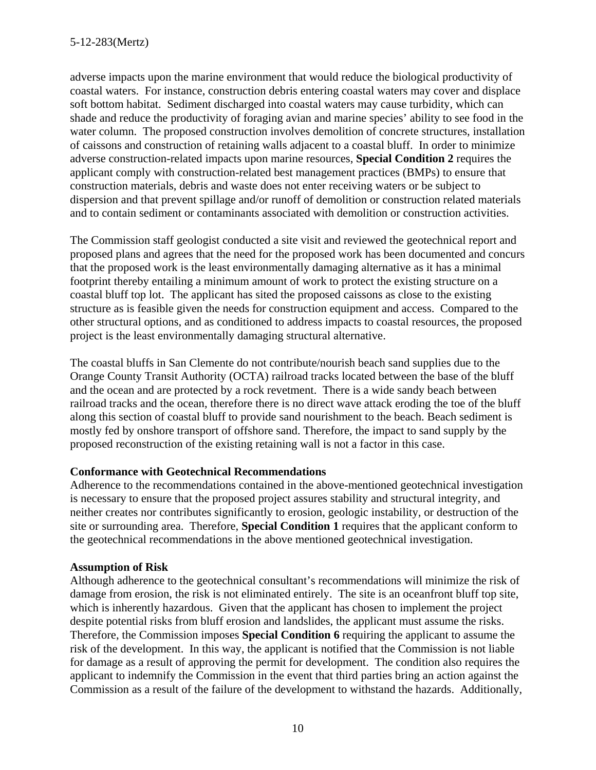adverse impacts upon the marine environment that would reduce the biological productivity of coastal waters. For instance, construction debris entering coastal waters may cover and displace soft bottom habitat. Sediment discharged into coastal waters may cause turbidity, which can shade and reduce the productivity of foraging avian and marine species' ability to see food in the water column. The proposed construction involves demolition of concrete structures, installation of caissons and construction of retaining walls adjacent to a coastal bluff. In order to minimize adverse construction-related impacts upon marine resources, **Special Condition 2** requires the applicant comply with construction-related best management practices (BMPs) to ensure that construction materials, debris and waste does not enter receiving waters or be subject to dispersion and that prevent spillage and/or runoff of demolition or construction related materials and to contain sediment or contaminants associated with demolition or construction activities.

The Commission staff geologist conducted a site visit and reviewed the geotechnical report and proposed plans and agrees that the need for the proposed work has been documented and concurs that the proposed work is the least environmentally damaging alternative as it has a minimal footprint thereby entailing a minimum amount of work to protect the existing structure on a coastal bluff top lot. The applicant has sited the proposed caissons as close to the existing structure as is feasible given the needs for construction equipment and access. Compared to the other structural options, and as conditioned to address impacts to coastal resources, the proposed project is the least environmentally damaging structural alternative.

The coastal bluffs in San Clemente do not contribute/nourish beach sand supplies due to the Orange County Transit Authority (OCTA) railroad tracks located between the base of the bluff and the ocean and are protected by a rock revetment. There is a wide sandy beach between railroad tracks and the ocean, therefore there is no direct wave attack eroding the toe of the bluff along this section of coastal bluff to provide sand nourishment to the beach. Beach sediment is mostly fed by onshore transport of offshore sand. Therefore, the impact to sand supply by the proposed reconstruction of the existing retaining wall is not a factor in this case.

#### **Conformance with Geotechnical Recommendations**

Adherence to the recommendations contained in the above-mentioned geotechnical investigation is necessary to ensure that the proposed project assures stability and structural integrity, and neither creates nor contributes significantly to erosion, geologic instability, or destruction of the site or surrounding area. Therefore, **Special Condition 1** requires that the applicant conform to the geotechnical recommendations in the above mentioned geotechnical investigation.

#### **Assumption of Risk**

Although adherence to the geotechnical consultant's recommendations will minimize the risk of damage from erosion, the risk is not eliminated entirely. The site is an oceanfront bluff top site, which is inherently hazardous. Given that the applicant has chosen to implement the project despite potential risks from bluff erosion and landslides, the applicant must assume the risks. Therefore, the Commission imposes **Special Condition 6** requiring the applicant to assume the risk of the development. In this way, the applicant is notified that the Commission is not liable for damage as a result of approving the permit for development. The condition also requires the applicant to indemnify the Commission in the event that third parties bring an action against the Commission as a result of the failure of the development to withstand the hazards. Additionally,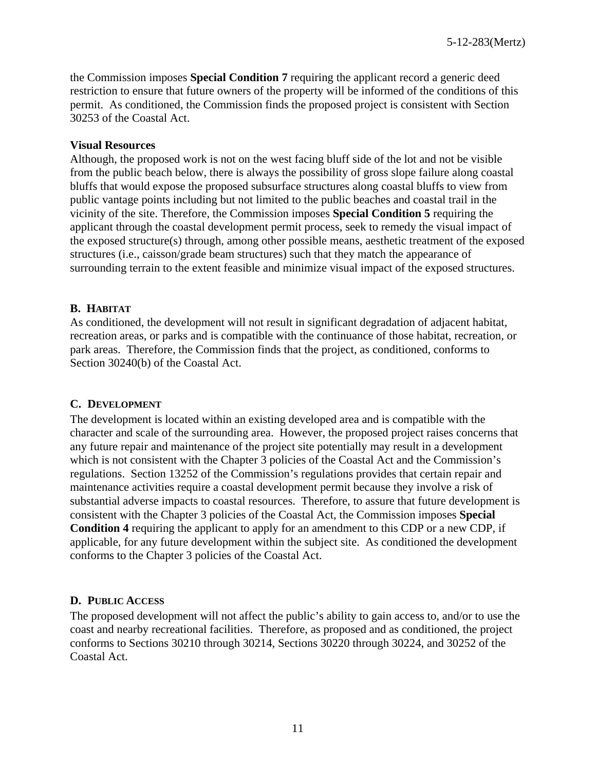the Commission imposes **Special Condition 7** requiring the applicant record a generic deed restriction to ensure that future owners of the property will be informed of the conditions of this permit. As conditioned, the Commission finds the proposed project is consistent with Section 30253 of the Coastal Act.

#### **Visual Resources**

Although, the proposed work is not on the west facing bluff side of the lot and not be visible from the public beach below, there is always the possibility of gross slope failure along coastal bluffs that would expose the proposed subsurface structures along coastal bluffs to view from public vantage points including but not limited to the public beaches and coastal trail in the vicinity of the site. Therefore, the Commission imposes **Special Condition 5** requiring the applicant through the coastal development permit process, seek to remedy the visual impact of the exposed structure(s) through, among other possible means, aesthetic treatment of the exposed structures (i.e., caisson/grade beam structures) such that they match the appearance of surrounding terrain to the extent feasible and minimize visual impact of the exposed structures.

#### **B. HABITAT**

As conditioned, the development will not result in significant degradation of adjacent habitat, recreation areas, or parks and is compatible with the continuance of those habitat, recreation, or park areas. Therefore, the Commission finds that the project, as conditioned, conforms to Section 30240(b) of the Coastal Act.

#### **C. DEVELOPMENT**

The development is located within an existing developed area and is compatible with the character and scale of the surrounding area. However, the proposed project raises concerns that any future repair and maintenance of the project site potentially may result in a development which is not consistent with the Chapter 3 policies of the Coastal Act and the Commission's regulations. Section 13252 of the Commission's regulations provides that certain repair and maintenance activities require a coastal development permit because they involve a risk of substantial adverse impacts to coastal resources. Therefore, to assure that future development is consistent with the Chapter 3 policies of the Coastal Act, the Commission imposes **Special Condition 4** requiring the applicant to apply for an amendment to this CDP or a new CDP, if applicable, for any future development within the subject site. As conditioned the development conforms to the Chapter 3 policies of the Coastal Act.

#### **D. PUBLIC ACCESS**

The proposed development will not affect the public's ability to gain access to, and/or to use the coast and nearby recreational facilities. Therefore, as proposed and as conditioned, the project conforms to Sections 30210 through 30214, Sections 30220 through 30224, and 30252 of the Coastal Act.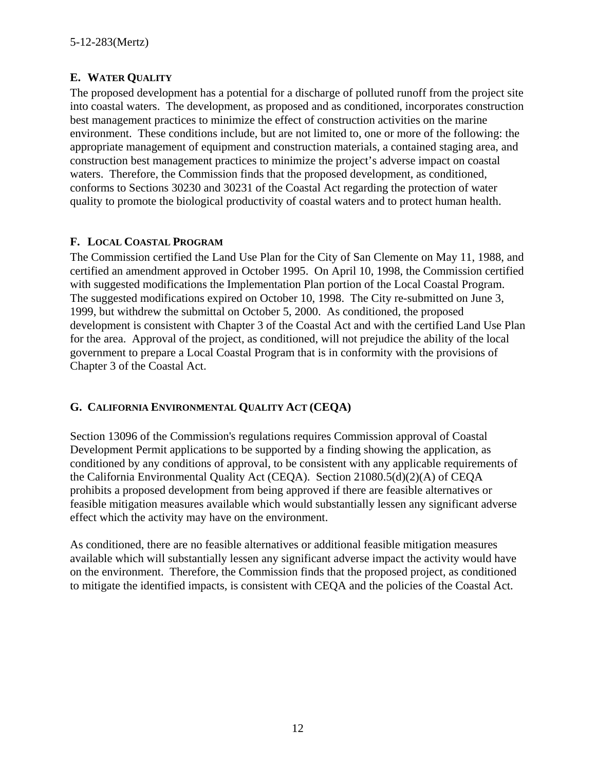#### **E. WATER QUALITY**

The proposed development has a potential for a discharge of polluted runoff from the project site into coastal waters. The development, as proposed and as conditioned, incorporates construction best management practices to minimize the effect of construction activities on the marine environment. These conditions include, but are not limited to, one or more of the following: the appropriate management of equipment and construction materials, a contained staging area, and construction best management practices to minimize the project's adverse impact on coastal waters. Therefore, the Commission finds that the proposed development, as conditioned, conforms to Sections 30230 and 30231 of the Coastal Act regarding the protection of water quality to promote the biological productivity of coastal waters and to protect human health.

#### **F. LOCAL COASTAL PROGRAM**

The Commission certified the Land Use Plan for the City of San Clemente on May 11, 1988, and certified an amendment approved in October 1995. On April 10, 1998, the Commission certified with suggested modifications the Implementation Plan portion of the Local Coastal Program. The suggested modifications expired on October 10, 1998. The City re-submitted on June 3, 1999, but withdrew the submittal on October 5, 2000. As conditioned, the proposed development is consistent with Chapter 3 of the Coastal Act and with the certified Land Use Plan for the area. Approval of the project, as conditioned, will not prejudice the ability of the local government to prepare a Local Coastal Program that is in conformity with the provisions of Chapter 3 of the Coastal Act.

#### **G. CALIFORNIA ENVIRONMENTAL QUALITY ACT (CEQA)**

Section 13096 of the Commission's regulations requires Commission approval of Coastal Development Permit applications to be supported by a finding showing the application, as conditioned by any conditions of approval, to be consistent with any applicable requirements of the California Environmental Quality Act (CEQA). Section 21080.5(d)(2)(A) of CEQA prohibits a proposed development from being approved if there are feasible alternatives or feasible mitigation measures available which would substantially lessen any significant adverse effect which the activity may have on the environment.

As conditioned, there are no feasible alternatives or additional feasible mitigation measures available which will substantially lessen any significant adverse impact the activity would have on the environment. Therefore, the Commission finds that the proposed project, as conditioned to mitigate the identified impacts, is consistent with CEQA and the policies of the Coastal Act.